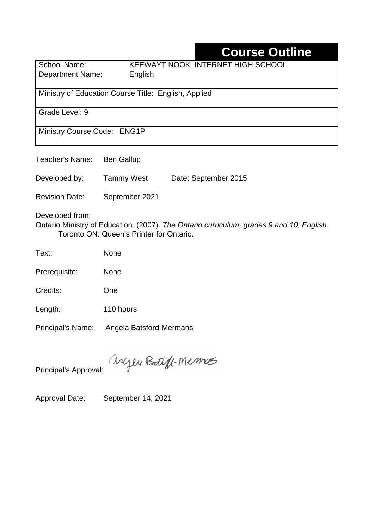# **Course Outline**

| School Name:            | KEEWAYTINOOK INTERNET HIGH SCHOOL |
|-------------------------|-----------------------------------|
| <b>Department Name:</b> | English                           |

Ministry of Education Course Title:English, Applied

Grade Level: 9

Ministry Course Code: ENG1P

Teacher's Name: Ben Gallup

Developed by: Tammy West Date: September 2015

Revision Date: September 2021

Developed from:

Ontario Ministry of Education. (2007). *The Ontario curriculum, grades 9 and 10: English.*  Toronto ON: Queen's Printer for Ontario.

Text: None

Prerequisite: None

Credits: One

Length: 110 hours

Principal's Name: Angela Batsford-Mermans

anyen Boteff-Memos

Principal's Approval:

Approval Date: September 14, 2021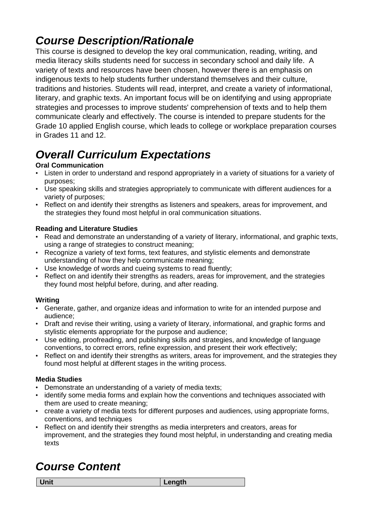# *Course Description/Rationale*

This course is designed to develop the key oral communication, reading, writing, and media literacy skills students need for success in secondary school and daily life. A variety of texts and resources have been chosen, however there is an emphasis on indigenous texts to help students further understand themselves and their culture, traditions and histories. Students will read, interpret, and create a variety of informational, literary, and graphic texts. An important focus will be on identifying and using appropriate strategies and processes to improve students' comprehension of texts and to help them communicate clearly and effectively. The course is intended to prepare students for the Grade 10 applied English course, which leads to college or workplace preparation courses in Grades 11 and 12.

# *Overall Curriculum Expectations*

### **Oral Communication**

- Listen in order to understand and respond appropriately in a variety of situations for a variety of purposes;
- Use speaking skills and strategies appropriately to communicate with different audiences for a variety of purposes;
- Reflect on and identify their strengths as listeners and speakers, areas for improvement, and the strategies they found most helpful in oral communication situations.

### **Reading and Literature Studies**

- Read and demonstrate an understanding of a variety of literary, informational, and graphic texts, using a range of strategies to construct meaning;
- Recognize a variety of text forms, text features, and stylistic elements and demonstrate understanding of how they help communicate meaning;
- Use knowledge of words and cueing systems to read fluently;
- Reflect on and identify their strengths as readers, areas for improvement, and the strategies they found most helpful before, during, and after reading.

### **Writing**

- Generate, gather, and organize ideas and information to write for an intended purpose and audience;
- Draft and revise their writing, using a variety of literary, informational, and graphic forms and stylistic elements appropriate for the purpose and audience;
- Use editing, proofreading, and publishing skills and strategies, and knowledge of language conventions, to correct errors, refine expression, and present their work effectively;
- Reflect on and identify their strengths as writers, areas for improvement, and the strategies they found most helpful at different stages in the writing process.

### **Media Studies**

- Demonstrate an understanding of a variety of media texts;
- identify some media forms and explain how the conventions and techniques associated with them are used to create meaning;
- create a variety of media texts for different purposes and audiences, using appropriate forms, conventions, and techniques
- Reflect on and identify their strengths as media interpreters and creators, areas for improvement, and the strategies they found most helpful, in understanding and creating media texts

# *Course Content*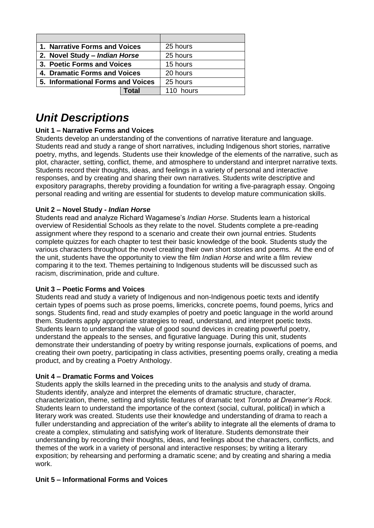| 1. Narrative Forms and Voices     | 25 hours  |
|-----------------------------------|-----------|
| 2. Novel Study - Indian Horse     | 25 hours  |
| 3. Poetic Forms and Voices        | 15 hours  |
| 4. Dramatic Forms and Voices      | 20 hours  |
| 5. Informational Forms and Voices | 25 hours  |
| Total                             | 110 hours |

## *Unit Descriptions*

### **Unit 1 – Narrative Forms and Voices**

Students develop an understanding of the conventions of narrative literature and language. Students read and study a range of short narratives, including Indigenous short stories, narrative poetry, myths, and legends. Students use their knowledge of the elements of the narrative, such as plot, character, setting, conflict, theme, and atmosphere to understand and interpret narrative texts. Students record their thoughts, ideas, and feelings in a variety of personal and interactive responses, and by creating and sharing their own narratives. Students write descriptive and expository paragraphs, thereby providing a foundation for writing a five-paragraph essay. Ongoing personal reading and writing are essential for students to develop mature communication skills.

#### **Unit 2 – Novel Study -** *Indian Horse*

Students read and analyze Richard Wagamese's *Indian Horse*. Students learn a historical overview of Residential Schools as they relate to the novel. Students complete a pre-reading assignment where they respond to a scenario and create their own journal entries. Students complete quizzes for each chapter to test their basic knowledge of the book. Students study the various characters throughout the novel creating their own short stories and poems. At the end of the unit, students have the opportunity to view the film *Indian Horse* and write a film review comparing it to the text. Themes pertaining to Indigenous students will be discussed such as racism, discrimination, pride and culture.

#### **Unit 3 – Poetic Forms and Voices**

Students read and study a variety of Indigenous and non-Indigenous poetic texts and identify certain types of poems such as prose poems, limericks, concrete poems, found poems, lyrics and songs. Students find, read and study examples of poetry and poetic language in the world around them. Students apply appropriate strategies to read, understand, and interpret poetic texts. Students learn to understand the value of good sound devices in creating powerful poetry, understand the appeals to the senses, and figurative language. During this unit, students demonstrate their understanding of poetry by writing response journals, explications of poems, and creating their own poetry, participating in class activities, presenting poems orally, creating a media product, and by creating a Poetry Anthology.

#### **Unit 4 – Dramatic Forms and Voices**

Students apply the skills learned in the preceding units to the analysis and study of drama. Students identify, analyze and interpret the elements of dramatic structure, character, characterization, theme, setting and stylistic features of dramatic text *Toronto at Dreamer's Rock*. Students learn to understand the importance of the context (social, cultural, political) in which a literary work was created. Students use their knowledge and understanding of drama to reach a fuller understanding and appreciation of the writer's ability to integrate all the elements of drama to create a complex, stimulating and satisfying work of literature. Students demonstrate their understanding by recording their thoughts, ideas, and feelings about the characters, conflicts, and themes of the work in a variety of personal and interactive responses; by writing a literary exposition; by rehearsing and performing a dramatic scene; and by creating and sharing a media work.

#### **Unit 5 – Informational Forms and Voices**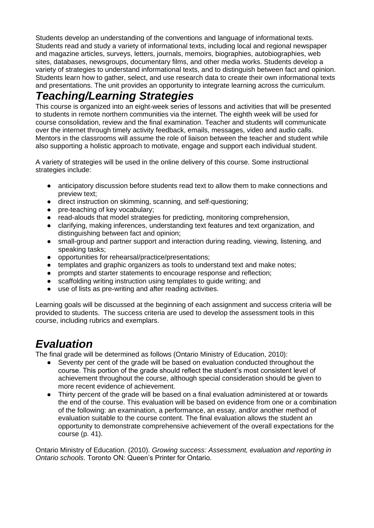Students develop an understanding of the conventions and language of informational texts. Students read and study a variety of informational texts, including local and regional newspaper and magazine articles, surveys, letters, journals, memoirs, biographies, autobiographies, web sites, databases, newsgroups, documentary films, and other media works. Students develop a variety of strategies to understand informational texts, and to distinguish between fact and opinion. Students learn how to gather, select, and use research data to create their own informational texts and presentations. The unit provides an opportunity to integrate learning across the curriculum.

# *Teaching/Learning Strategies*

This course is organized into an eight-week series of lessons and activities that will be presented to students in remote northern communities via the internet. The eighth week will be used for course consolidation, review and the final examination. Teacher and students will communicate over the internet through timely activity feedback, emails, messages, video and audio calls. Mentors in the classrooms will assume the role of liaison between the teacher and student while also supporting a holistic approach to motivate, engage and support each individual student.

A variety of strategies will be used in the online delivery of this course. Some instructional strategies include:

- anticipatory discussion before students read text to allow them to make connections and preview text;
- direct instruction on skimming, scanning, and self-questioning;
- pre-teaching of key vocabulary;
- read-alouds that model strategies for predicting, monitoring comprehension,
- clarifying, making inferences, understanding text features and text organization, and distinguishing between fact and opinion;
- small-group and partner support and interaction during reading, viewing, listening, and speaking tasks;
- opportunities for rehearsal/practice/presentations;
- templates and graphic organizers as tools to understand text and make notes;
- prompts and starter statements to encourage response and reflection;
- scaffolding writing instruction using templates to guide writing; and
- use of lists as pre-writing and after reading activities.

Learning goals will be discussed at the beginning of each assignment and success criteria will be provided to students. The success criteria are used to develop the assessment tools in this course, including rubrics and exemplars.

## *Evaluation*

The final grade will be determined as follows (Ontario Ministry of Education, 2010):

- Seventy per cent of the grade will be based on evaluation conducted throughout the course. This portion of the grade should reflect the student's most consistent level of achievement throughout the course, although special consideration should be given to more recent evidence of achievement.
- Thirty percent of the grade will be based on a final evaluation administered at or towards the end of the course. This evaluation will be based on evidence from one or a combination of the following: an examination, a performance, an essay, and/or another method of evaluation suitable to the course content. The final evaluation allows the student an opportunity to demonstrate comprehensive achievement of the overall expectations for the course (p. 41).

Ontario Ministry of Education. (2010). *Growing success: Assessment, evaluation and reporting in Ontario schools*. Toronto ON: Queen's Printer for Ontario.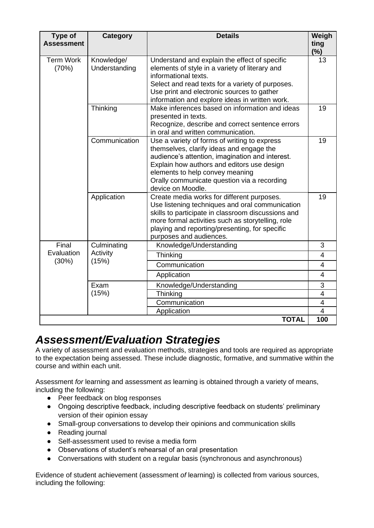| Type of                      | <b>Category</b>                  | <b>Details</b>                                                                                                                                                                                                                                                                                   | Weigh               |
|------------------------------|----------------------------------|--------------------------------------------------------------------------------------------------------------------------------------------------------------------------------------------------------------------------------------------------------------------------------------------------|---------------------|
| <b>Assessment</b>            |                                  |                                                                                                                                                                                                                                                                                                  | ting<br>(%)         |
| <b>Term Work</b><br>(70%)    | Knowledge/<br>Understanding      | Understand and explain the effect of specific<br>elements of style in a variety of literary and<br>informational texts.<br>Select and read texts for a variety of purposes.<br>Use print and electronic sources to gather<br>information and explore ideas in written work.                      | 13                  |
|                              | Thinking                         | Make inferences based on information and ideas<br>presented in texts.<br>Recognize, describe and correct sentence errors<br>in oral and written communication.                                                                                                                                   | 19                  |
|                              | Communication                    | Use a variety of forms of writing to express<br>themselves, clarify ideas and engage the<br>audience's attention, imagination and interest.<br>Explain how authors and editors use design<br>elements to help convey meaning<br>Orally communicate question via a recording<br>device on Moodle. | 19                  |
|                              | Application                      | Create media works for different purposes.<br>Use listening techniques and oral communication<br>skills to participate in classroom discussions and<br>more formal activities such as storytelling, role<br>playing and reporting/presenting, for specific<br>purposes and audiences.            | 19                  |
| Final<br>Evaluation<br>(30%) | Culminating<br>Activity<br>(15%) | Knowledge/Understanding                                                                                                                                                                                                                                                                          | 3                   |
|                              |                                  | Thinking                                                                                                                                                                                                                                                                                         | 4                   |
|                              |                                  | Communication                                                                                                                                                                                                                                                                                    | 4                   |
|                              |                                  | Application                                                                                                                                                                                                                                                                                      | $\overline{4}$      |
|                              | Exam<br>(15%)                    | Knowledge/Understanding                                                                                                                                                                                                                                                                          | 3                   |
|                              |                                  | Thinking                                                                                                                                                                                                                                                                                         | $\overline{4}$      |
|                              |                                  | Communication<br>Application                                                                                                                                                                                                                                                                     | $\overline{4}$<br>4 |
|                              |                                  | <b>TOTAL</b>                                                                                                                                                                                                                                                                                     | 100                 |

# *Assessment/Evaluation Strategies*

A variety of assessment and evaluation methods, strategies and tools are required as appropriate to the expectation being assessed. These include diagnostic, formative, and summative within the course and within each unit.

Assessment *for* learning and assessment *as* learning is obtained through a variety of means, including the following:

- Peer feedback on blog responses
- Ongoing descriptive feedback, including descriptive feedback on students' preliminary version of their opinion essay
- Small-group conversations to develop their opinions and communication skills
- Reading journal
- Self-assessment used to revise a media form
- Observations of student's rehearsal of an oral presentation
- Conversations with student on a regular basis (synchronous and asynchronous)

Evidence of student achievement (assessment *of* learning) is collected from various sources, including the following: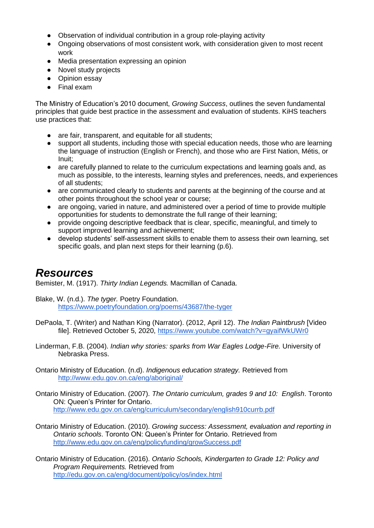- Observation of individual contribution in a group role-playing activity
- Ongoing observations of most consistent work, with consideration given to most recent work
- Media presentation expressing an opinion
- Novel study projects
- Opinion essay
- Final exam

The Ministry of Education's 2010 document, *Growing Success*, outlines the seven fundamental principles that guide best practice in the assessment and evaluation of students. KiHS teachers use practices that:

- are fair, transparent, and equitable for all students:
- support all students, including those with special education needs, those who are learning the language of instruction (English or French), and those who are First Nation, Métis, or Inuit;
- are carefully planned to relate to the curriculum expectations and learning goals and, as much as possible, to the interests, learning styles and preferences, needs, and experiences of all students;
- are communicated clearly to students and parents at the beginning of the course and at other points throughout the school year or course;
- are ongoing, varied in nature, and administered over a period of time to provide multiple opportunities for students to demonstrate the full range of their learning;
- provide ongoing descriptive feedback that is clear, specific, meaningful, and timely to support improved learning and achievement;
- develop students' self-assessment skills to enable them to assess their own learning, set specific goals, and plan next steps for their learning (p.6).

### *Resources*

Bemister, M. (1917). *Thirty Indian Legends.* Macmillan of Canada.

Blake, W. (n.d.). *The tyger.* Poetry Foundation. <https://www.poetryfoundation.org/poems/43687/the-tyger>

- DePaola, T. (Writer) and Nathan King (Narrator). (2012, April 12). *The Indian Paintbrush* [Video file]. Retrieved October 5, 2020,<https://www.youtube.com/watch?v=gyaifWkUWr0>
- Linderman, F.B. (2004). *Indian why stories: sparks from War Eagles Lodge-Fire.* University of Nebraska Press.

Ontario Ministry of Education. (n.d). *Indigenous education strategy.* Retrieved from <http://www.edu.gov.on.ca/eng/aboriginal/>

- Ontario Ministry of Education. (2007). *The Ontario curriculum, grades 9 and 10: English*. Toronto ON: Queen's Printer for Ontario. <http://www.edu.gov.on.ca/eng/curriculum/secondary/english910currb.pdf>
- Ontario Ministry of Education. (2010). *Growing success: Assessment, evaluation and reporting in Ontario schools*. Toronto ON: Queen's Printer for Ontario. Retrieved from <http://www.edu.gov.on.ca/eng/policyfunding/growSuccess.pdf>
- Ontario Ministry of Education. (2016). *Ontario Schools, Kindergarten to Grade 12: Policy and Program Requirements.* Retrieved from <http://edu.gov.on.ca/eng/document/policy/os/index.html>